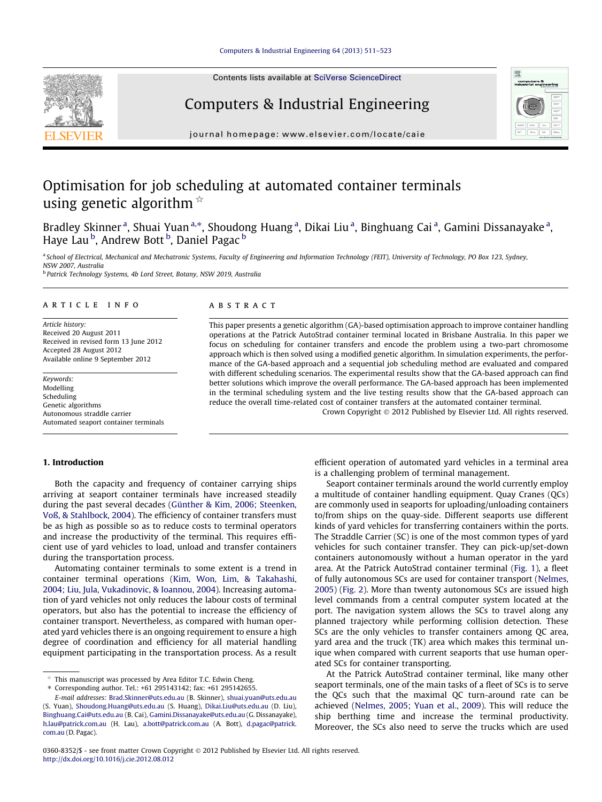## [Computers & Industrial Engineering 64 \(2013\) 511–523](http://dx.doi.org/10.1016/j.cie.2012.08.012)



# Computers & Industrial Engineering

journal homepage: [www.elsevier.com/locate/caie](http://www.elsevier.com/locate/caie)

# Optimisation for job scheduling at automated container terminals using genetic algorithm  $\dot{a}$

Bradley Skinner<sup>a</sup>, Shuai Yuan<sup>a,\*</sup>, Shoudong Huang<sup>a</sup>, Dikai Liu<sup>a</sup>, Binghuang Cai<sup>a</sup>, Gamini Dissanayake<sup>a</sup>, Haye Lau <sup>b</sup>, Andrew Bott <sup>b</sup>, Daniel Pagac <sup>b</sup>

a School of Electrical, Mechanical and Mechatronic Systems, Faculty of Engineering and Information Technology (FEIT), University of Technology, PO Box 123, Sydney, NSW 2007, Australia

<sup>b</sup> Patrick Technology Systems, 4b Lord Street, Botany, NSW 2019, Australia

#### article info

Article history: Received 20 August 2011 Received in revised form 13 June 2012 Accepted 28 August 2012 Available online 9 September 2012

Keywords: Modelling Scheduling Genetic algorithms Autonomous straddle carrier Automated seaport container terminals

## **ABSTRACT**

This paper presents a genetic algorithm (GA)-based optimisation approach to improve container handling operations at the Patrick AutoStrad container terminal located in Brisbane Australia. In this paper we focus on scheduling for container transfers and encode the problem using a two-part chromosome approach which is then solved using a modified genetic algorithm. In simulation experiments, the performance of the GA-based approach and a sequential job scheduling method are evaluated and compared with different scheduling scenarios. The experimental results show that the GA-based approach can find better solutions which improve the overall performance. The GA-based approach has been implemented in the terminal scheduling system and the live testing results show that the GA-based approach can reduce the overall time-related cost of container transfers at the automated container terminal.

Crown Copyright © 2012 Published by Elsevier Ltd. All rights reserved.

#### 1. Introduction

Both the capacity and frequency of container carrying ships arriving at seaport container terminals have increased steadily during the past several decades ([Günther & Kim, 2006; Steenken,](#page--1-0) [Voß, & Stahlbock, 2004\)](#page--1-0). The efficiency of container transfers must be as high as possible so as to reduce costs to terminal operators and increase the productivity of the terminal. This requires efficient use of yard vehicles to load, unload and transfer containers during the transportation process.

Automating container terminals to some extent is a trend in container terminal operations [\(Kim, Won, Lim, & Takahashi,](#page--1-0) [2004; Liu, Jula, Vukadinovic, & Ioannou, 2004](#page--1-0)). Increasing automation of yard vehicles not only reduces the labour costs of terminal operators, but also has the potential to increase the efficiency of container transport. Nevertheless, as compared with human operated yard vehicles there is an ongoing requirement to ensure a high degree of coordination and efficiency for all material handling equipment participating in the transportation process. As a result

efficient operation of automated yard vehicles in a terminal area is a challenging problem of terminal management.

Seaport container terminals around the world currently employ a multitude of container handling equipment. Quay Cranes (QCs) are commonly used in seaports for uploading/unloading containers to/from ships on the quay-side. Different seaports use different kinds of yard vehicles for transferring containers within the ports. The Straddle Carrier (SC) is one of the most common types of yard vehicles for such container transfer. They can pick-up/set-down containers autonomously without a human operator in the yard area. At the Patrick AutoStrad container terminal ([Fig. 1](#page-1-0)), a fleet of fully autonomous SCs are used for container transport [\(Nelmes,](#page--1-0) [2005](#page--1-0)) [\(Fig. 2\)](#page-1-0). More than twenty autonomous SCs are issued high level commands from a central computer system located at the port. The navigation system allows the SCs to travel along any planned trajectory while performing collision detection. These SCs are the only vehicles to transfer containers among QC area, yard area and the truck (TK) area which makes this terminal unique when compared with current seaports that use human operated SCs for container transporting.

At the Patrick AutoStrad container terminal, like many other seaport terminals, one of the main tasks of a fleet of SCs is to serve the QCs such that the maximal QC turn-around rate can be achieved [\(Nelmes, 2005; Yuan et al., 2009](#page--1-0)). This will reduce the ship berthing time and increase the terminal productivity. Moreover, the SCs also need to serve the trucks which are used





This manuscript was processed by Area Editor T.C. Edwin Cheng.

<sup>⇑</sup> Corresponding author. Tel.: +61 295143142; fax: +61 295142655.

E-mail addresses: [Brad.Skinner@uts.edu.au](mailto:Brad.Skinner@uts.edu.au) (B. Skinner), [shuai.yuan@uts.edu.au](mailto:shuai.yuan@uts.edu.au) (S. Yuan), [Shoudong.Huang@uts.edu.au](mailto:Shoudong.Huang@uts.edu.au) (S. Huang), [Dikai.Liu@uts.edu.au](mailto:Dikai.Liu@uts.edu.au) (D. Liu), [Binghuang.Cai@uts.edu.au](mailto:Binghuang.Cai@uts.edu.au) (B. Cai), [Gamini.Dissanayake@uts.edu.au](mailto:Gamini.Dissanayake@uts.edu.au) (G. Dissanayake), [h.lau@patrick.com.au](mailto:h.lau@patrick.com.au) (H. Lau), [a.bott@patrick.com.au](mailto:a.bott@patrick.com.au) (A. Bott), [d.pagac@patrick.](mailto:d.pagac@patrick.com.au) [com.au](mailto:d.pagac@patrick.com.au) (D. Pagac).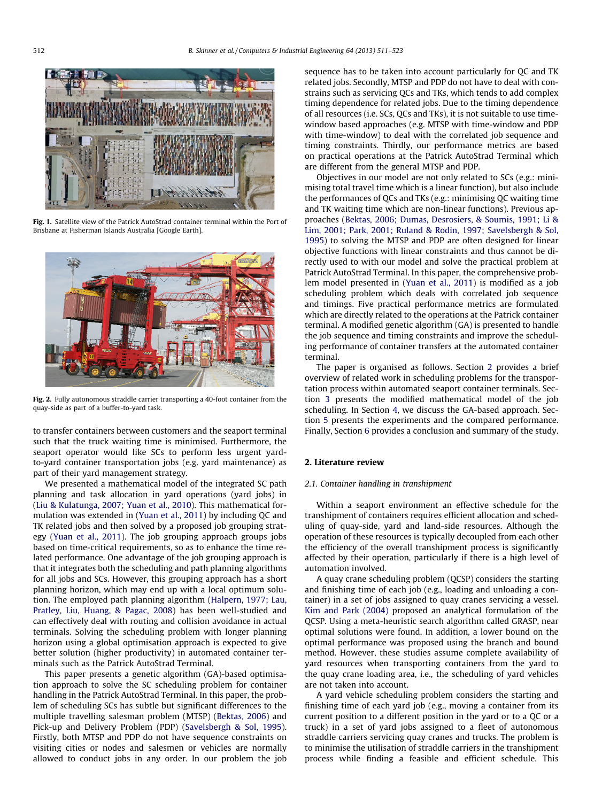<span id="page-1-0"></span>

Fig. 1. Satellite view of the Patrick AutoStrad container terminal within the Port of Brisbane at Fisherman Islands Australia [Google Earth].



Fig. 2. Fully autonomous straddle carrier transporting a 40-foot container from the quay-side as part of a buffer-to-yard task.

to transfer containers between customers and the seaport terminal such that the truck waiting time is minimised. Furthermore, the seaport operator would like SCs to perform less urgent yardto-yard container transportation jobs (e.g. yard maintenance) as part of their yard management strategy.

We presented a mathematical model of the integrated SC path planning and task allocation in yard operations (yard jobs) in ([Liu & Kulatunga, 2007; Yuan et al., 2010](#page--1-0)). This mathematical formulation was extended in [\(Yuan et al., 2011](#page--1-0)) by including QC and TK related jobs and then solved by a proposed job grouping strategy ([Yuan et al., 2011](#page--1-0)). The job grouping approach groups jobs based on time-critical requirements, so as to enhance the time related performance. One advantage of the job grouping approach is that it integrates both the scheduling and path planning algorithms for all jobs and SCs. However, this grouping approach has a short planning horizon, which may end up with a local optimum solution. The employed path planning algorithm ([Halpern, 1977; Lau,](#page--1-0) [Pratley, Liu, Huang, & Pagac, 2008\)](#page--1-0) has been well-studied and can effectively deal with routing and collision avoidance in actual terminals. Solving the scheduling problem with longer planning horizon using a global optimisation approach is expected to give better solution (higher productivity) in automated container terminals such as the Patrick AutoStrad Terminal.

This paper presents a genetic algorithm (GA)-based optimisation approach to solve the SC scheduling problem for container handling in the Patrick AutoStrad Terminal. In this paper, the problem of scheduling SCs has subtle but significant differences to the multiple travelling salesman problem (MTSP) ([Bektas, 2006](#page--1-0)) and Pick-up and Delivery Problem (PDP) [\(Savelsbergh & Sol, 1995\)](#page--1-0). Firstly, both MTSP and PDP do not have sequence constraints on visiting cities or nodes and salesmen or vehicles are normally allowed to conduct jobs in any order. In our problem the job

sequence has to be taken into account particularly for OC and TK related jobs. Secondly, MTSP and PDP do not have to deal with constrains such as servicing QCs and TKs, which tends to add complex timing dependence for related jobs. Due to the timing dependence of all resources (i.e. SCs, QCs and TKs), it is not suitable to use timewindow based approaches (e.g. MTSP with time-window and PDP with time-window) to deal with the correlated job sequence and timing constraints. Thirdly, our performance metrics are based on practical operations at the Patrick AutoStrad Terminal which are different from the general MTSP and PDP.

Objectives in our model are not only related to SCs (e.g.: minimising total travel time which is a linear function), but also include the performances of QCs and TKs (e.g.: minimising QC waiting time and TK waiting time which are non-linear functions). Previous approaches ([Bektas, 2006; Dumas, Desrosiers, & Soumis, 1991; Li &](#page--1-0) [Lim, 2001; Park, 2001; Ruland & Rodin, 1997; Savelsbergh & Sol,](#page--1-0) [1995\)](#page--1-0) to solving the MTSP and PDP are often designed for linear objective functions with linear constraints and thus cannot be directly used to with our model and solve the practical problem at Patrick AutoStrad Terminal. In this paper, the comprehensive problem model presented in ([Yuan et al., 2011](#page--1-0)) is modified as a job scheduling problem which deals with correlated job sequence and timings. Five practical performance metrics are formulated which are directly related to the operations at the Patrick container terminal. A modified genetic algorithm (GA) is presented to handle the job sequence and timing constraints and improve the scheduling performance of container transfers at the automated container terminal.

The paper is organised as follows. Section 2 provides a brief overview of related work in scheduling problems for the transportation process within automated seaport container terminals. Section [3](#page--1-0) presents the modified mathematical model of the job scheduling. In Section [4](#page--1-0), we discuss the GA-based approach. Section [5](#page--1-0) presents the experiments and the compared performance. Finally, Section [6](#page--1-0) provides a conclusion and summary of the study.

### 2. Literature review

#### 2.1. Container handling in transhipment

Within a seaport environment an effective schedule for the transhipment of containers requires efficient allocation and scheduling of quay-side, yard and land-side resources. Although the operation of these resources is typically decoupled from each other the efficiency of the overall transhipment process is significantly affected by their operation, particularly if there is a high level of automation involved.

A quay crane scheduling problem (QCSP) considers the starting and finishing time of each job (e.g., loading and unloading a container) in a set of jobs assigned to quay cranes servicing a vessel. [Kim and Park \(2004\)](#page--1-0) proposed an analytical formulation of the QCSP. Using a meta-heuristic search algorithm called GRASP, near optimal solutions were found. In addition, a lower bound on the optimal performance was proposed using the branch and bound method. However, these studies assume complete availability of yard resources when transporting containers from the yard to the quay crane loading area, i.e., the scheduling of yard vehicles are not taken into account.

A yard vehicle scheduling problem considers the starting and finishing time of each yard job (e.g., moving a container from its current position to a different position in the yard or to a QC or a truck) in a set of yard jobs assigned to a fleet of autonomous straddle carriers servicing quay cranes and trucks. The problem is to minimise the utilisation of straddle carriers in the transhipment process while finding a feasible and efficient schedule. This